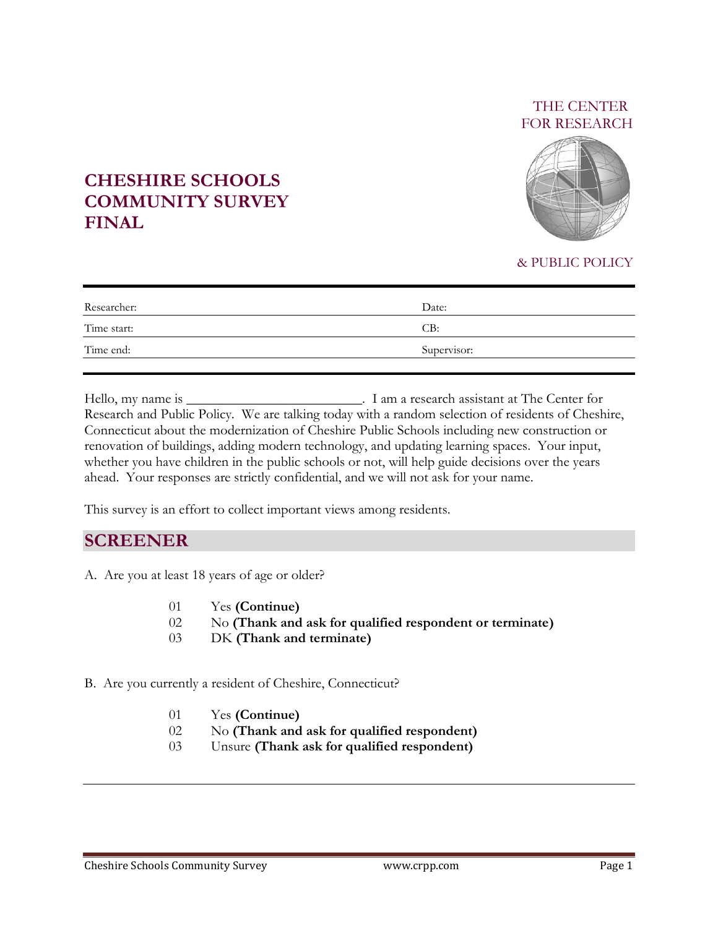### THE CENTER FOR RESEARCH



# **CHESHIRE SCHOOLS COMMUNITY SURVEY FINAL**

#### & PUBLIC POLICY

| Researcher: | Date:       |
|-------------|-------------|
| Time start: | CB:         |
| Time end:   | Supervisor: |

Hello, my name is \_\_\_\_\_\_\_\_\_\_\_\_\_\_\_\_\_\_\_\_\_\_\_\_\_. I am a research assistant at The Center for Research and Public Policy. We are talking today with a random selection of residents of Cheshire, Connecticut about the modernization of Cheshire Public Schools including new construction or renovation of buildings, adding modern technology, and updating learning spaces. Your input, whether you have children in the public schools or not, will help guide decisions over the years ahead. Your responses are strictly confidential, and we will not ask for your name.

This survey is an effort to collect important views among residents.

## **SCREENER**

- A. Are you at least 18 years of age or older?
	- 01 Yes **(Continue)**
	- 02 No **(Thank and ask for qualified respondent or terminate)**
	- 03 DK **(Thank and terminate)**
- B. Are you currently a resident of Cheshire, Connecticut?
	- 01 Yes **(Continue)**
	- 02 No **(Thank and ask for qualified respondent)**
	- 03 Unsure **(Thank ask for qualified respondent)**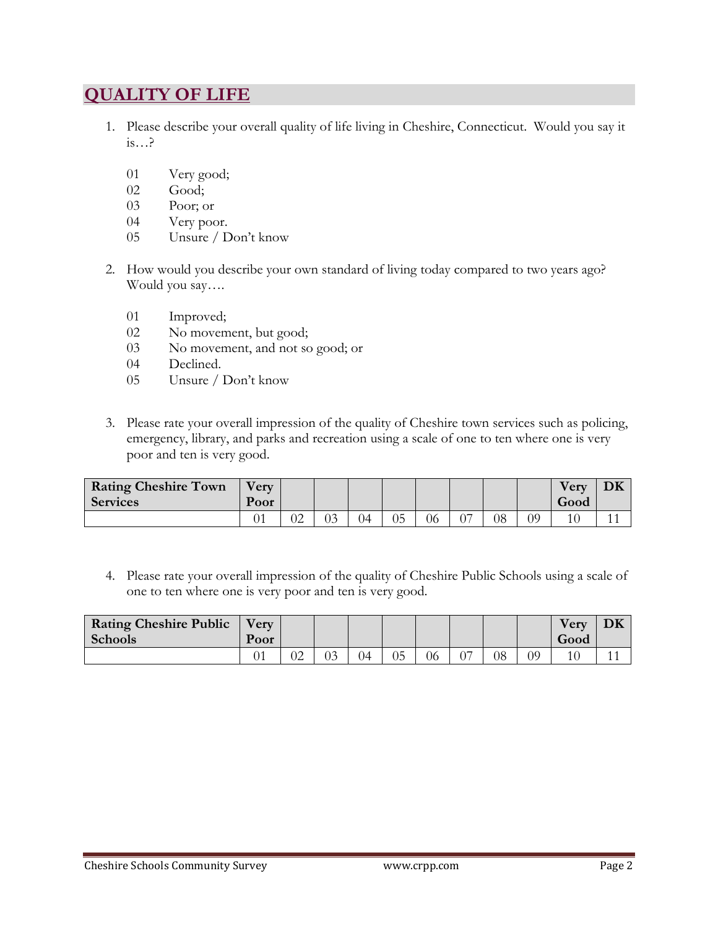# **QUALITY OF LIFE**

- 1. Please describe your overall quality of life living in Cheshire, Connecticut. Would you say it is…?
	- 01 Very good;
	- 02 Good;
	- 03 Poor; or
	- 04 Very poor.
	- 05 Unsure / Don't know
- 2. How would you describe your own standard of living today compared to two years ago? Would you say….
	- 01 Improved;
	- 02 No movement, but good;
	- 03 No movement, and not so good; or
	- 04 Declined.
	- 05 Unsure / Don't know
- 3. Please rate your overall impression of the quality of Cheshire town services such as policing, emergency, library, and parks and recreation using a scale of one to ten where one is very poor and ten is very good.

| <b>Rating Cheshire Town</b><br><b>Services</b> | <b>Very</b><br>Poor |    |    |                |    |    |    |    |    | <b>Very</b><br>Good | DK |
|------------------------------------------------|---------------------|----|----|----------------|----|----|----|----|----|---------------------|----|
|                                                |                     | JZ | 03 | $\overline{0}$ | 05 | 06 | 07 | 08 | 09 |                     |    |

4. Please rate your overall impression of the quality of Cheshire Public Schools using a scale of one to ten where one is very poor and ten is very good.

| <b>Rating Cheshire Public</b><br><b>Schools</b> | Very.<br>Poor |    |    |    |    |    |    |    |    | <b>Very</b><br>Good | DK |
|-------------------------------------------------|---------------|----|----|----|----|----|----|----|----|---------------------|----|
|                                                 | ◡▴            | 02 | 03 | 04 | 05 | 06 | ∼− | 08 | 99 |                     |    |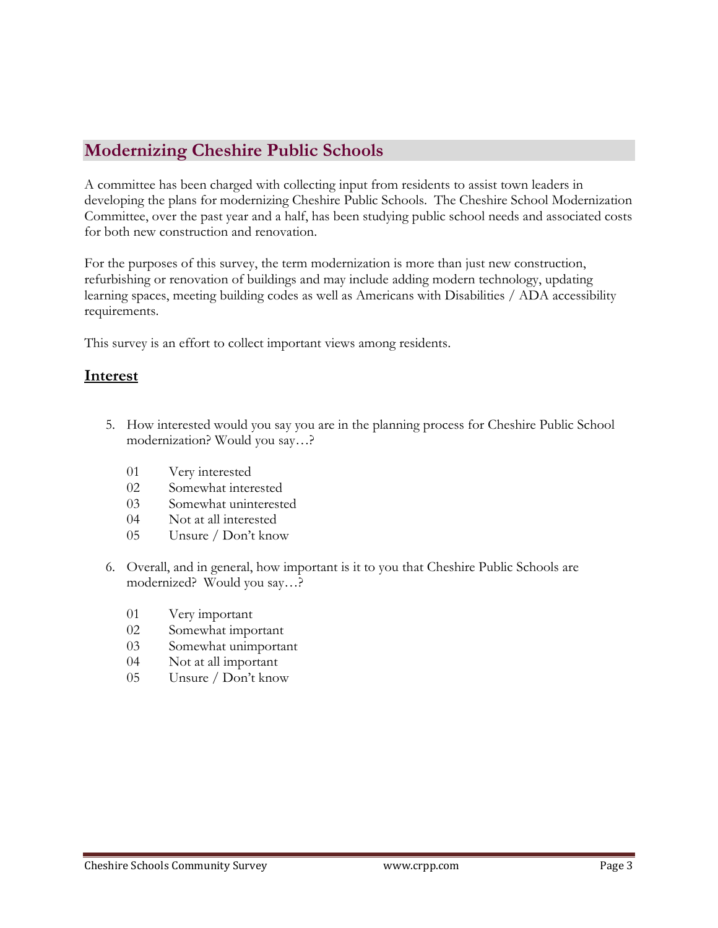# **Modernizing Cheshire Public Schools**

A committee has been charged with collecting input from residents to assist town leaders in developing the plans for modernizing Cheshire Public Schools. The Cheshire School Modernization Committee, over the past year and a half, has been studying public school needs and associated costs for both new construction and renovation.

For the purposes of this survey, the term modernization is more than just new construction, refurbishing or renovation of buildings and may include adding modern technology, updating learning spaces, meeting building codes as well as Americans with Disabilities / ADA accessibility requirements.

This survey is an effort to collect important views among residents.

### **Interest**

- 5. How interested would you say you are in the planning process for Cheshire Public School modernization? Would you say…?
	- 01 Very interested
	- 02 Somewhat interested
	- 03 Somewhat uninterested
	- 04 Not at all interested
	- 05 Unsure / Don't know
- 6. Overall, and in general, how important is it to you that Cheshire Public Schools are modernized? Would you say…?
	- 01 Very important
	- 02 Somewhat important
	- 03 Somewhat unimportant
	- 04 Not at all important
	- 05 Unsure / Don't know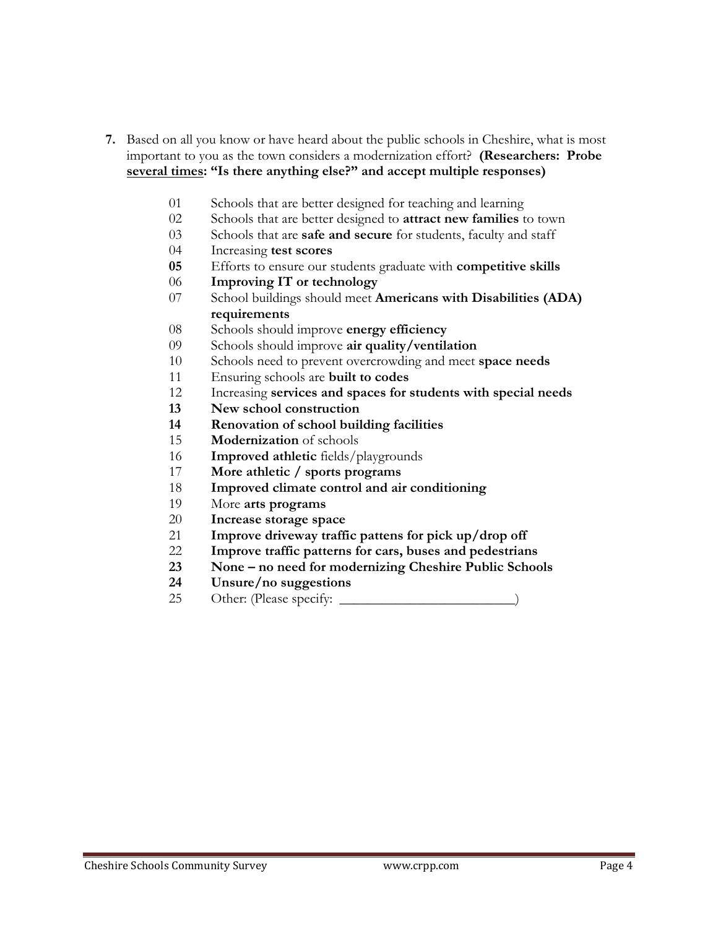- **7.** Based on all you know or have heard about the public schools in Cheshire, what is most important to you as the town considers a modernization effort? **(Researchers: Probe several times: "Is there anything else?" and accept multiple responses)**
	- Schools that are better designed for teaching and learning
	- Schools that are better designed to **attract new families** to town
	- Schools that are **safe and secure** for students, faculty and staff
	- Increasing **test scores**
	- Efforts to ensure our students graduate with **competitive skills**
	- **Improving IT or technology**
	- School buildings should meet **Americans with Disabilities (ADA) requirements**
	- Schools should improve **energy efficiency**
	- Schools should improve **air quality/ventilation**
	- Schools need to prevent overcrowding and meet **space needs**
	- Ensuring schools are **built to codes**
	- Increasing **services and spaces for students with special needs**
	- **New school construction**
	- **Renovation of school building facilities**
	- **Modernization** of schools
	- **Improved athletic** fields/playgrounds
	- **More athletic / sports programs**
	- **Improved climate control and air conditioning**
	- More **arts programs**
	- **Increase storage space**
	- **Improve driveway traffic pattens for pick up/drop off**
	- **Improve traffic patterns for cars, buses and pedestrians**
	- **None – no need for modernizing Cheshire Public Schools**
	- **Unsure/no suggestions**
	- Other: (Please specify: \_\_\_\_\_\_\_\_\_\_\_\_\_\_\_\_\_\_\_\_\_\_\_\_\_)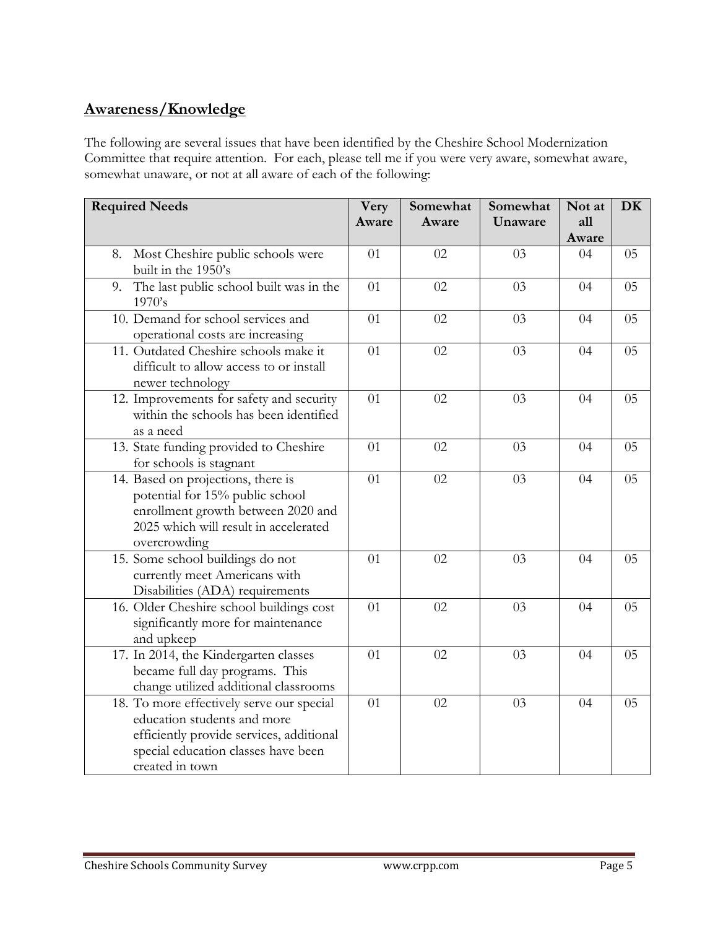## **Awareness/Knowledge**

The following are several issues that have been identified by the Cheshire School Modernization Committee that require attention. For each, please tell me if you were very aware, somewhat aware, somewhat unaware, or not at all aware of each of the following:

| <b>Required Needs</b>                                                                                                                                                          | Very<br>Aware | Somewhat<br>Aware | Somewhat<br>Unaware | Not at<br>all | DK |
|--------------------------------------------------------------------------------------------------------------------------------------------------------------------------------|---------------|-------------------|---------------------|---------------|----|
|                                                                                                                                                                                |               |                   |                     | Aware         |    |
| Most Cheshire public schools were<br>8.<br>built in the 1950's                                                                                                                 | 01            | 02                | 03                  | 04            | 05 |
| The last public school built was in the<br>9.<br>1970's                                                                                                                        | 01            | 02                | 03                  | 04            | 05 |
| 10. Demand for school services and<br>operational costs are increasing                                                                                                         | 01            | 02                | 03                  | 04            | 05 |
| 11. Outdated Cheshire schools make it<br>difficult to allow access to or install<br>newer technology                                                                           | 01            | 02                | 03                  | 04            | 05 |
| 12. Improvements for safety and security<br>within the schools has been identified<br>as a need                                                                                | 01            | 02                | 03                  | 04            | 05 |
| 13. State funding provided to Cheshire<br>for schools is stagnant                                                                                                              | 01            | 02                | 03                  | 04            | 05 |
| 14. Based on projections, there is<br>potential for 15% public school<br>enrollment growth between 2020 and<br>2025 which will result in accelerated<br>overcrowding           | 01            | 02                | 03                  | 04            | 05 |
| 15. Some school buildings do not<br>currently meet Americans with<br>Disabilities (ADA) requirements                                                                           | 01            | 02                | 03                  | 04            | 05 |
| 16. Older Cheshire school buildings cost<br>significantly more for maintenance<br>and upkeep                                                                                   | 01            | 02                | 03                  | 04            | 05 |
| 17. In 2014, the Kindergarten classes<br>became full day programs. This<br>change utilized additional classrooms                                                               | 01            | 02                | 03                  | 04            | 05 |
| 18. To more effectively serve our special<br>education students and more<br>efficiently provide services, additional<br>special education classes have been<br>created in town | 01            | 02                | 03                  | 04            | 05 |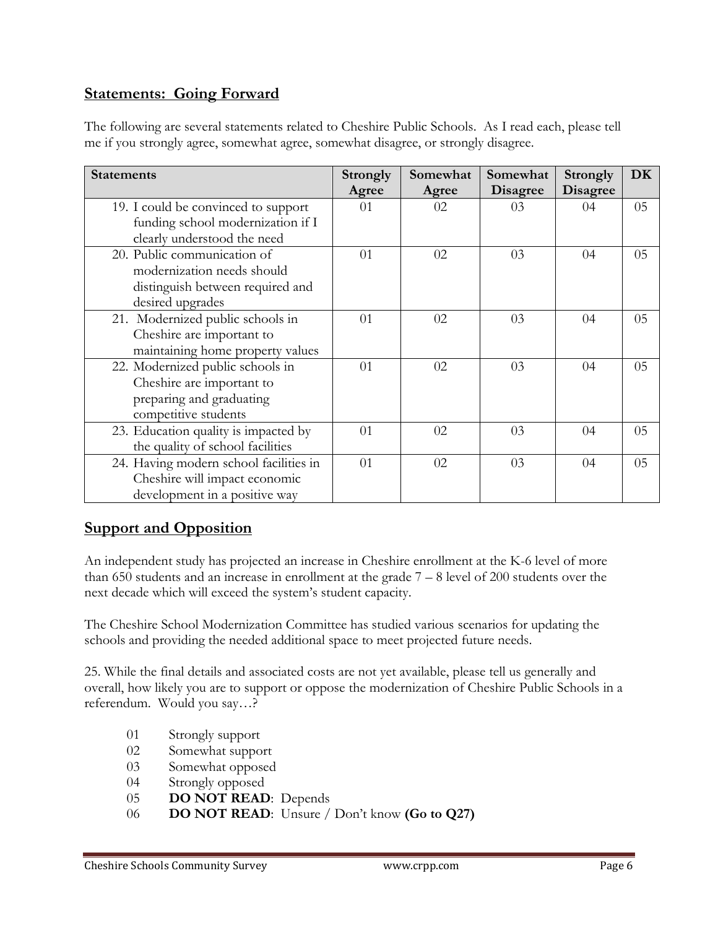## **Statements: Going Forward**

The following are several statements related to Cheshire Public Schools. As I read each, please tell me if you strongly agree, somewhat agree, somewhat disagree, or strongly disagree.

| <b>Statements</b>                                                                                                 | <b>Strongly</b><br>Agree | Somewhat<br>Agree | Somewhat<br><b>Disagree</b> | <b>Strongly</b><br><b>Disagree</b> | DK |
|-------------------------------------------------------------------------------------------------------------------|--------------------------|-------------------|-----------------------------|------------------------------------|----|
| 19. I could be convinced to support<br>funding school modernization if I<br>clearly understood the need           | 01                       | 02                | 03                          | 04                                 | 05 |
| 20. Public communication of<br>modernization needs should<br>distinguish between required and<br>desired upgrades | 01                       | 02                | 03                          | 04                                 | 05 |
| 21. Modernized public schools in<br>Cheshire are important to<br>maintaining home property values                 | 01                       | 02                | 03                          | 04                                 | 05 |
| 22. Modernized public schools in<br>Cheshire are important to<br>preparing and graduating<br>competitive students | 01                       | 02                | 03                          | 04                                 | 05 |
| 23. Education quality is impacted by<br>the quality of school facilities                                          | 01                       | 02                | 03                          | 04                                 | 05 |
| 24. Having modern school facilities in<br>Cheshire will impact economic<br>development in a positive way          | 01                       | 02                | 03                          | 04                                 | 05 |

## **Support and Opposition**

An independent study has projected an increase in Cheshire enrollment at the K-6 level of more than 650 students and an increase in enrollment at the grade  $7 - 8$  level of 200 students over the next decade which will exceed the system's student capacity.

The Cheshire School Modernization Committee has studied various scenarios for updating the schools and providing the needed additional space to meet projected future needs.

25. While the final details and associated costs are not yet available, please tell us generally and overall, how likely you are to support or oppose the modernization of Cheshire Public Schools in a referendum. Would you say…?

- 01 Strongly support
- 02 Somewhat support
- 03 Somewhat opposed
- 04 Strongly opposed
- 05 **DO NOT READ**: Depends
- 06 **DO NOT READ**: Unsure / Don't know **(Go to Q27)**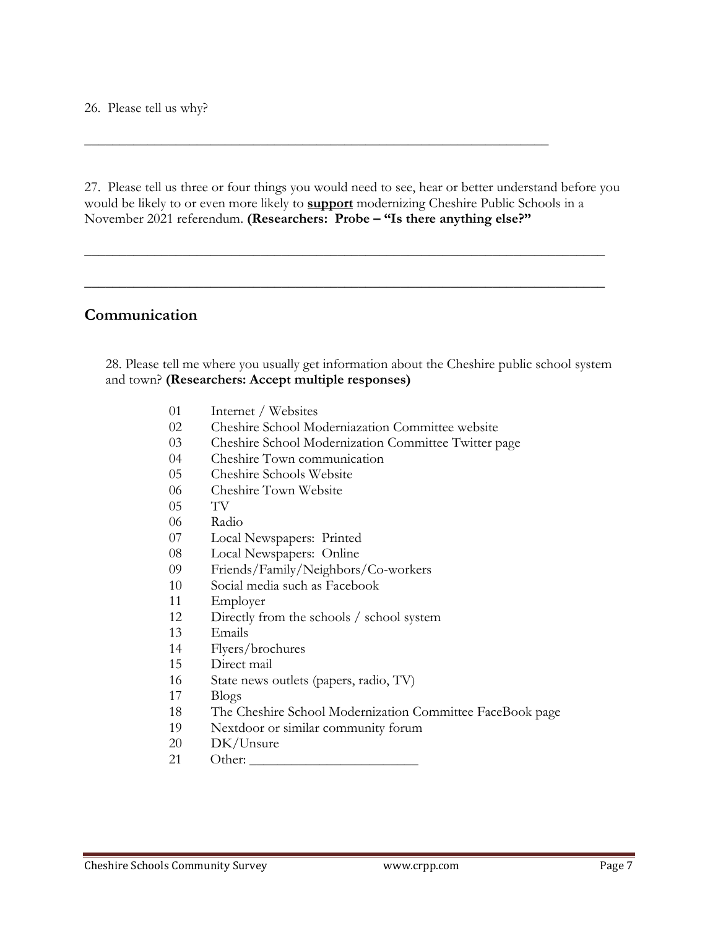26. Please tell us why?

27. Please tell us three or four things you would need to see, hear or better understand before you would be likely to or even more likely to **support** modernizing Cheshire Public Schools in a November 2021 referendum. **(Researchers: Probe – "Is there anything else?"**

\_\_\_\_\_\_\_\_\_\_\_\_\_\_\_\_\_\_\_\_\_\_\_\_\_\_\_\_\_\_\_\_\_\_\_\_\_\_\_\_\_\_\_\_\_\_\_\_\_\_\_\_\_\_\_\_\_\_\_\_\_\_\_\_\_\_\_\_\_\_\_\_\_\_

\_\_\_\_\_\_\_\_\_\_\_\_\_\_\_\_\_\_\_\_\_\_\_\_\_\_\_\_\_\_\_\_\_\_\_\_\_\_\_\_\_\_\_\_\_\_\_\_\_\_\_\_\_\_\_\_\_\_\_\_\_\_\_\_\_\_\_\_\_\_\_\_\_\_

\_\_\_\_\_\_\_\_\_\_\_\_\_\_\_\_\_\_\_\_\_\_\_\_\_\_\_\_\_\_\_\_\_\_\_\_\_\_\_\_\_\_\_\_\_\_\_\_\_\_\_\_\_\_\_\_\_\_\_\_\_\_\_\_\_\_

### **Communication**

28. Please tell me where you usually get information about the Cheshire public school system and town? **(Researchers: Accept multiple responses)**

- Internet / Websites
- Cheshire School Moderniazation Committee website
- Cheshire School Modernization Committee Twitter page
- Cheshire Town communication
- Cheshire Schools Website
- Cheshire Town Website
- TV
- Radio
- Local Newspapers: Printed
- Local Newspapers: Online
- Friends/Family/Neighbors/Co-workers
- Social media such as Facebook
- Employer
- Directly from the schools / school system
- Emails
- Flyers/brochures
- Direct mail
- State news outlets (papers, radio, TV)
- Blogs
- The Cheshire School Modernization Committee FaceBook page
- Nextdoor or similar community forum
- DK/Unsure
- 21 Other: \_\_\_\_\_\_\_\_\_\_\_\_\_\_\_\_\_\_\_\_\_\_\_\_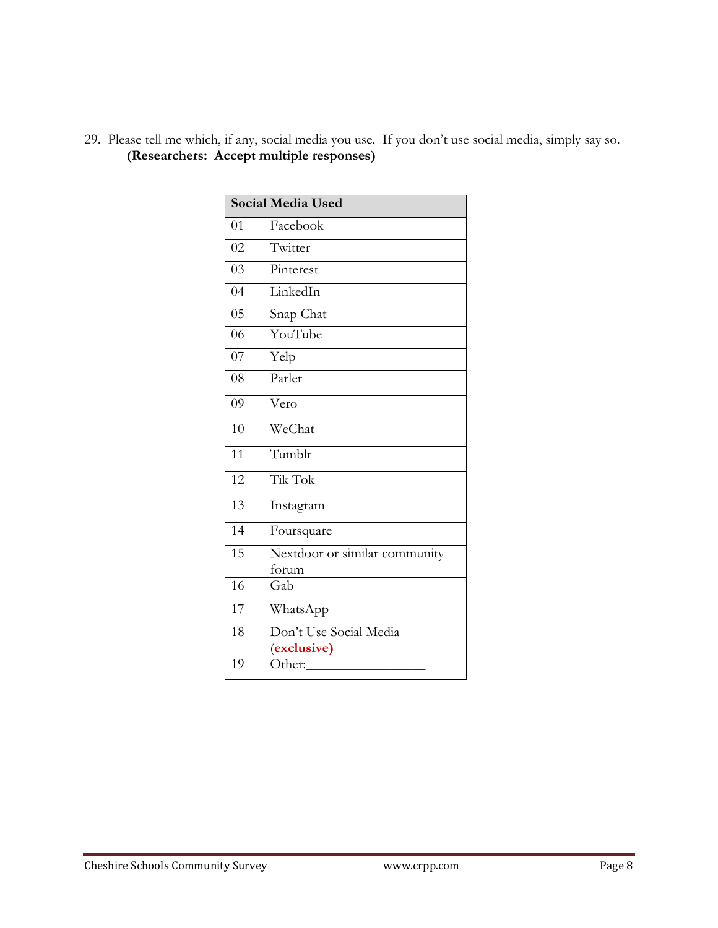|    | <b>Social Media Used</b>      |
|----|-------------------------------|
| 01 | Facebook                      |
| 02 | Twitter                       |
| 03 | Pinterest                     |
| 04 | LinkedIn                      |
| 05 | Snap Chat                     |
| 06 | YouTube                       |
| 07 | Yelp                          |
| 08 | Parler                        |
| 09 | Vero                          |
| 10 | WeChat                        |
| 11 | Tumblr                        |
| 12 | Tik Tok                       |
| 13 | Instagram                     |
| 14 | Foursquare                    |
| 15 | Nextdoor or similar community |
|    | forum                         |
| 16 | Gab                           |
| 17 | WhatsApp                      |
| 18 | Don't Use Social Media        |
|    | (exclusive)                   |
| 19 | Other:                        |

29. Please tell me which, if any, social media you use. If you don't use social media, simply say so. **(Researchers: Accept multiple responses)**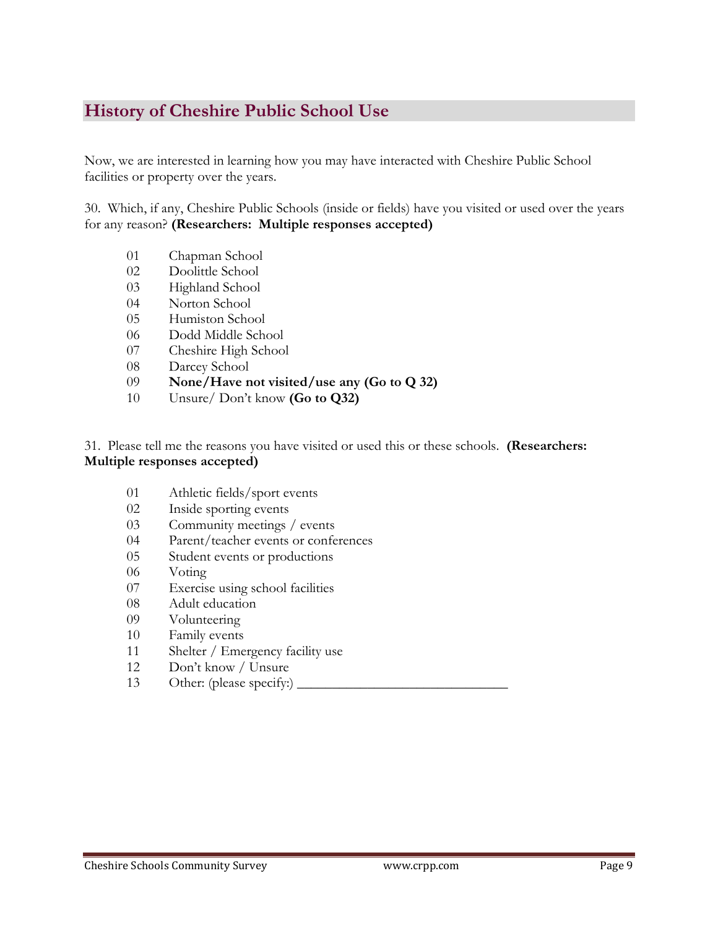# **History of Cheshire Public School Use**

Now, we are interested in learning how you may have interacted with Cheshire Public School facilities or property over the years.

30. Which, if any, Cheshire Public Schools (inside or fields) have you visited or used over the years for any reason? **(Researchers: Multiple responses accepted)**

- Chapman School
- Doolittle School
- Highland School
- Norton School
- Humiston School
- Dodd Middle School
- Cheshire High School
- Darcey School
- **None/Have not visited/use any (Go to Q 32)**
- Unsure/ Don't know **(Go to Q32)**

31. Please tell me the reasons you have visited or used this or these schools. **(Researchers: Multiple responses accepted)**

- Athletic fields/sport events
- Inside sporting events
- Community meetings / events
- Parent/teacher events or conferences
- Student events or productions
- Voting
- Exercise using school facilities
- Adult education
- Volunteering
- Family events
- 11 Shelter / Emergency facility use
- Don't know / Unsure
- 13 Other: (please specify:)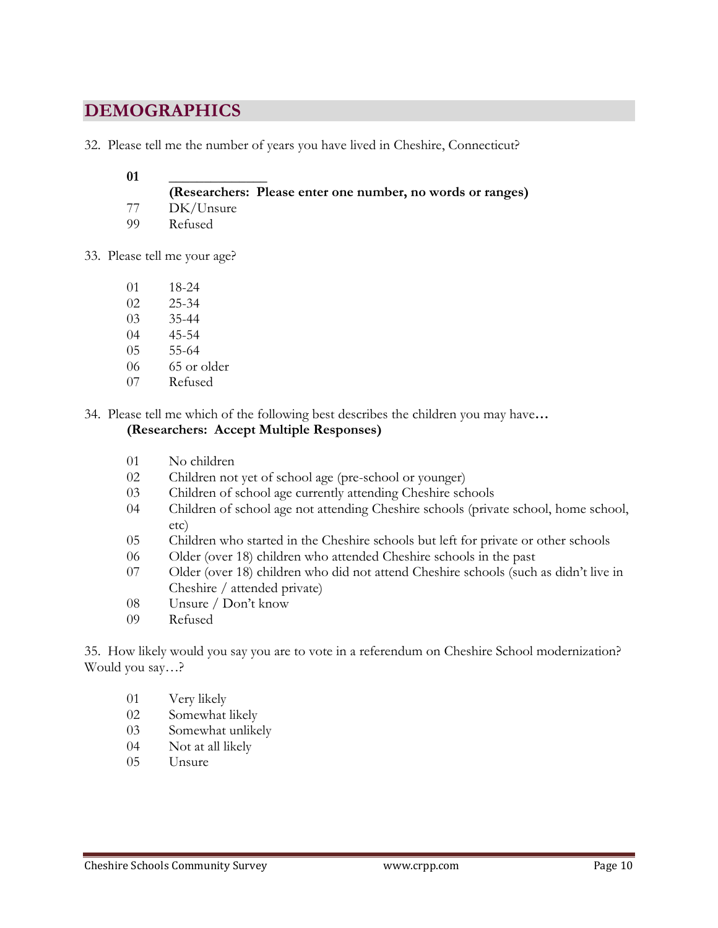# **DEMOGRAPHICS**

32. Please tell me the number of years you have lived in Cheshire, Connecticut?

#### \_\_\_\_\_\_\_\_\_\_\_\_\_\_

**(Researchers: Please enter one number, no words or ranges)**

- DK/Unsure
- Refused
- 33. Please tell me your age?
	- 18-24
	- 25-34
	- 35-44
	- 45-54
	- 55-64
	- 65 or older
	- Refused

34. Please tell me which of the following best describes the children you may have**…** 

### **(Researchers: Accept Multiple Responses)**

- No children
- Children not yet of school age (pre-school or younger)
- Children of school age currently attending Cheshire schools
- Children of school age not attending Cheshire schools (private school, home school, etc)
- Children who started in the Cheshire schools but left for private or other schools
- Older (over 18) children who attended Cheshire schools in the past
- Older (over 18) children who did not attend Cheshire schools (such as didn't live in Cheshire / attended private)
- Unsure / Don't know
- Refused

35. How likely would you say you are to vote in a referendum on Cheshire School modernization? Would you say…?

- Very likely
- Somewhat likely
- Somewhat unlikely
- Not at all likely
- Unsure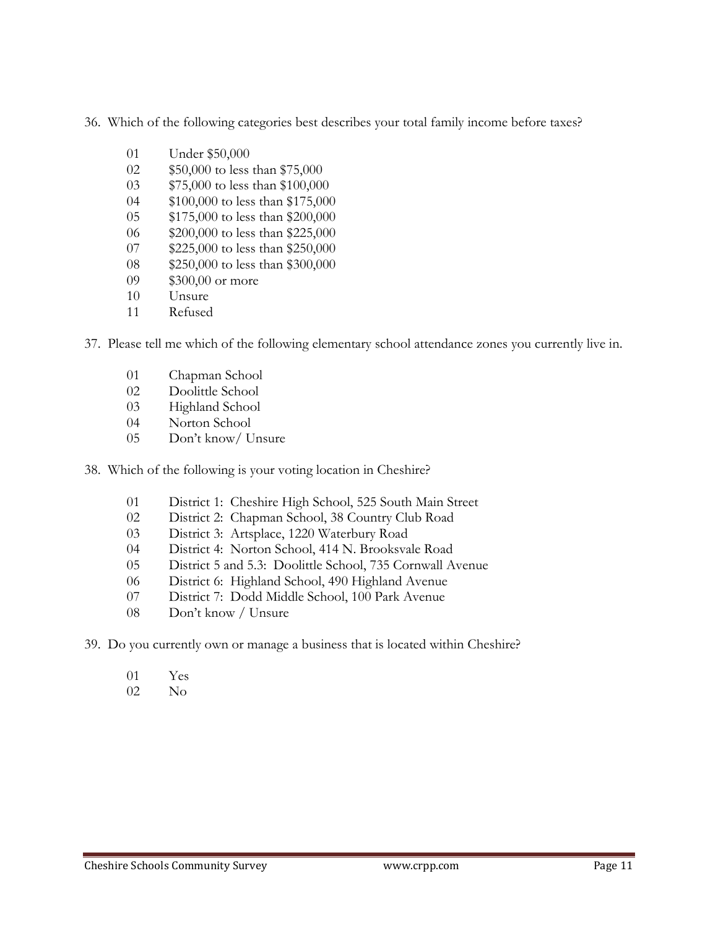36. Which of the following categories best describes your total family income before taxes?

- Under \$50,000
- \$50,000 to less than \$75,000
- \$75,000 to less than \$100,000
- \$100,000 to less than \$175,000
- \$175,000 to less than \$200,000
- \$200,000 to less than \$225,000
- 07 \$225,000 to less than \$250,000
- \$250,000 to less than \$300,000
- 09 \$300,00 or more
- Unsure
- Refused

37. Please tell me which of the following elementary school attendance zones you currently live in.

- Chapman School
- Doolittle School
- Highland School
- Norton School
- Don't know/ Unsure

38. Which of the following is your voting location in Cheshire?

- District 1: Cheshire High School, 525 South Main Street
- District 2: Chapman School, 38 Country Club Road
- District 3: Artsplace, 1220 Waterbury Road
- District 4: Norton School, 414 N. Brooksvale Road
- District 5 and 5.3: Doolittle School, 735 Cornwall Avenue
- District 6: Highland School, 490 Highland Avenue
- District 7: Dodd Middle School, 100 Park Avenue
- Don't know / Unsure
- 39. Do you currently own or manage a business that is located within Cheshire?
	- Yes
	- No